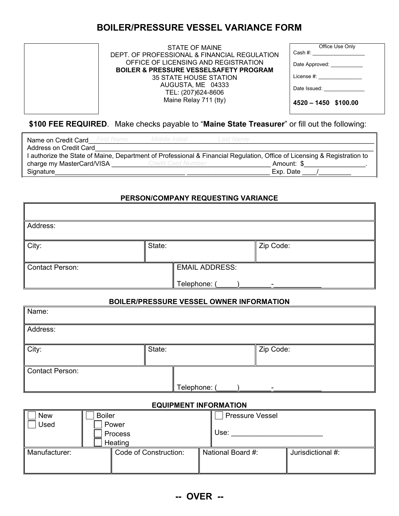# **BOILER/PRESSURE VESSEL VARIANCE FORM**

STATE OF MAINE DEPT. OF PROFESSIONAL & FINANCIAL REGULATION OFFICE OF LICENSING AND REGISTRATION **BOILER & PRESSURE VESSELSAFETY PROGRAM** 35 STATE HOUSE STATION AUGUSTA, ME 04333 TEL: (207)624-8606 Maine Relay 711 (tty)

| Office Use Only              |  |
|------------------------------|--|
|                              |  |
| Date Approved:               |  |
| License $#$ :                |  |
| Date Issued: _______________ |  |
| 4520 - 1450 \$100.00         |  |

### **\$100 FEE REQUIRED**. Make checks payable to "**Maine State Treasurer**" or fill out the following:

| <b>Name on Credit Card</b> First Name<br>Address on Credit Card | Middle Initial     | Last Name                                                                                                                |  |
|-----------------------------------------------------------------|--------------------|--------------------------------------------------------------------------------------------------------------------------|--|
|                                                                 |                    | I authorize the State of Maine, Department of Professional & Financial Regulation, Office of Licensing & Registration to |  |
| charge my MasterCard/VISA                                       | Credit Card Number | Amount: \$                                                                                                               |  |
| Signature                                                       |                    | Exp. Date                                                                                                                |  |

#### **PERSON/COMPANY REQUESTING VARIANCE**

| Address:        |        |                       |           |
|-----------------|--------|-----------------------|-----------|
| City:           | State: |                       | Zip Code: |
|                 |        |                       |           |
| Contact Person: |        | <b>EMAIL ADDRESS:</b> |           |
|                 |        | Telephone: (          |           |

#### **BOILER/PRESSURE VESSEL OWNER INFORMATION**

| Name:           |              |           |  |
|-----------------|--------------|-----------|--|
| Address:        |              |           |  |
| City:           | State:       | Zip Code: |  |
| Contact Person: | Telephone: ( | -         |  |

#### **EQUIPMENT INFORMATION**

| <b>New</b>    | <b>Boiler</b> |                       | <b>Pressure Vessel</b> |                   |
|---------------|---------------|-----------------------|------------------------|-------------------|
| Used          | Power         |                       |                        |                   |
|               | Process       |                       | Use:                   |                   |
|               | Heating       |                       |                        |                   |
| Manufacturer: |               | Code of Construction: | National Board #:      | Jurisdictional #: |
|               |               |                       |                        |                   |
|               |               |                       |                        |                   |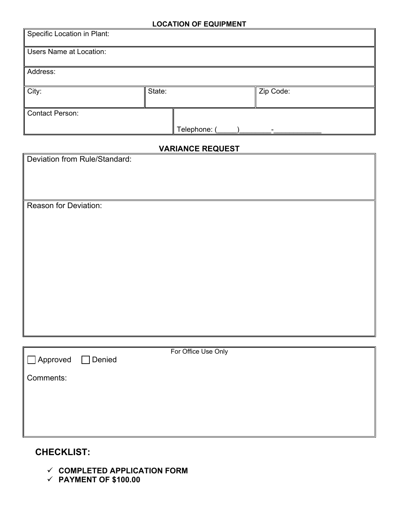#### **LOCATION OF EQUIPMENT**

| Zip Code: |
|-----------|
|           |
|           |

## **VARIANCE REQUEST**

| <b>VARIANCE REQUEST</b>                             |
|-----------------------------------------------------|
| Deviation from Rule/Standard:                       |
|                                                     |
|                                                     |
| Reason for Deviation:                               |
|                                                     |
|                                                     |
|                                                     |
|                                                     |
|                                                     |
|                                                     |
|                                                     |
|                                                     |
|                                                     |
|                                                     |
|                                                     |
| For Office Use Only<br>Approved<br>Denied<br>$\Box$ |
|                                                     |
| Comments:                                           |
|                                                     |
|                                                     |
|                                                     |
|                                                     |

# **CHECKLIST:**

- **COMPLETED APPLICATION FORM**
- **PAYMENT OF \$100.00**